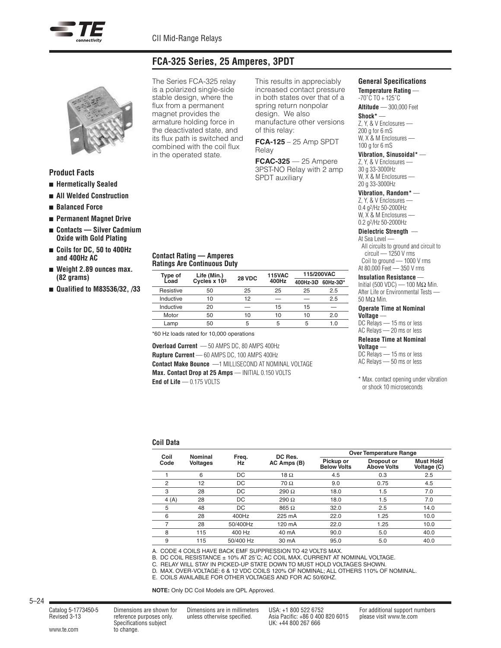

## **FCA-325 Series, 25 Amperes, 3PDT**



### **Product Facts**

- <sup>n</sup> **Hermetically Sealed**
- <sup>n</sup> **All Welded Construction**
- <sup>n</sup> **Balanced Force**
- <sup>n</sup> **Permanent Magnet Drive**
- <sup>n</sup> **Contacts — Silver Cadmium Oxide with Gold Plating**
- <sup>n</sup> **Coils for DC, 50 to 400Hz and 400Hz AC**
- <sup>n</sup> **Weight 2.89 ounces max. (82 grams)**
- <sup>n</sup> **Qualified to M83536/32, /33**

The Series FCA-325 relay is a polarized single-side stable design, where the flux from a permanent magnet provides the armature holding force in the deactivated state, and its flux path is switched and combined with the coil flux in the operated state.

This results in appreciably increased contact pressure in both states over that of a spring return nonpolar design. We also manufacture other versions of this relay:

**FCA-125** – 25 Amp SPDT Relay

**FCAC-325** — 25 Ampere 3PST-NO Relay with 2 amp SPDT auxiliary

#### **Contact Rating — Amperes Ratings Are Continuous Duty**

|           | Life (Min.)<br>Type of<br>28 VDC<br>Load<br>Cycles x 103 |       | <b>115VAC</b> | 115/200VAC |     |
|-----------|----------------------------------------------------------|-------|---------------|------------|-----|
|           |                                                          | 400Hz | 400Hz-3Ø      | 60Hz-3Ø*   |     |
| Resistive | 50                                                       | 25    | 25            | 25         | 2.5 |
| Inductive | 10                                                       | 12    | _             |            | 2.5 |
| Inductive | 20                                                       | –     | 15            | 15         |     |
| Motor     | 50                                                       | 10    | 10            | 10         | 2.0 |
| Lamp      | 50                                                       | 5     | 5             | 5          | 1.0 |

\*60 Hz loads rated for 10,000 operations

**Overload Current** — 50 AMPS DC, 80 AMPS 400Hz **Rupture Current** — 60 AMPS DC, 100 AMPS 400Hz **Contact Make Bounce** —1 MILLISECOND AT NOMINAL VOLTAGE **Max. Contact Drop at 25 Amps** — INITIAL 0.150 VOLTS **End of Life** — 0.175 VOLTS

20 g 33-3000Hz **Vibration, Random\*** — Z, Y, & V Enclosures — 0.4 g2/Hz 50-2000Hz W, X & M Enclosures -0.2 g2/Hz 50-2000Hz **Dielectric Strength** —

**General Specifications Temperature Rating** — -70˚C TO + 125˚C **Altitude** — 300,000 Feet

**Vibration, Sinusoidal\*** — Z, Y, & V Enclosures -30 g 33-3000Hz W, X & M Enclosures —

**Shock\*** — Z, Y, & V Enclosures — 200 g for 6 mS W, X & M Enclosures — 100 g for 6 mS

## At Sea Level —

All circuits to ground and circuit to circuit — 1250 V rms Coil to ground — 1000 V rms At 80,000 Feet — 350 V rms

#### **Insulation Resistance** —

Initial (500 VDC) — 100 MΩ Min. After Life or Environmental Tests -50 MΩ Min.

#### **Operate Time at Nominal**

**Voltage** — DC Relays - 15 ms or less AC Relays — 20 ms or less

### **Release Time at Nominal**

**Voltage** — DC Relays - 15 ms or less AC Relays — 50 ms or less

\* Max. contact opening under vibration or shock 10 microseconds

#### **Coil Data**

| Coil<br>Code   | Nominal<br>Voltages | Freq.<br>Hz | DC Res.<br>AC Amps (B) | <b>Over Temperature Range</b>   |                                  |                                 |  |
|----------------|---------------------|-------------|------------------------|---------------------------------|----------------------------------|---------------------------------|--|
|                |                     |             |                        | Pickup or<br><b>Below Volts</b> | Dropout or<br><b>Above Volts</b> | <b>Must Hold</b><br>Voltage (C) |  |
|                | 6                   | DC          | 18 $\Omega$            | 4.5                             | 0.3                              | 2.5                             |  |
| $\overline{2}$ | 12                  | DC          | $70 \Omega$            | 9.0                             | 0.75                             | 4.5                             |  |
| 3              | 28                  | DC          | 290 $\Omega$           | 18.0                            | 1.5                              | 7.0                             |  |
| 4(A)           | 28                  | DC          | 290 $\Omega$           | 18.0                            | 1.5                              | 7.0                             |  |
| 5              | 48                  | DC          | $865 \Omega$           | 32.0                            | 2.5                              | 14.0                            |  |
| 6              | 28                  | 400Hz       | 225 mA                 | 22.0                            | 1.25                             | 10.0                            |  |
| ⇁              | 28                  | 50/400Hz    | 120 mA                 | 22.0                            | 1.25                             | 10.0                            |  |
| 8              | 115                 | 400 Hz      | 40 mA                  | 90.0                            | 5.0                              | 40.0                            |  |
| 9              | 115                 | 50/400 Hz   | 30 mA                  | 95.0                            | 5.0                              | 40.0                            |  |

A. CODE 4 COILS HAVE BACK EMF SUPPRESSION TO 42 VOLTS MAX.

B. DC COIL RESISTANCE ± 10% AT 25˚C; AC COIL MAX. CURRENT AT NOMINAL VOLTAGE.

C. RELAY WILL STAY IN PICKED-UP STATE DOWN TO MUST HOLD VOLTAGES SHOWN.

D. MAX. OVER-VOLTAGE: 6 & 12 VDC COILS 120% OF NOMINAL; ALL OTHERS 110% OF NOMINAL.

E. COILS AVAILABLE FOR OTHER VOLTAGES AND FOR AC 50/60HZ.

**NOTE:** Only DC Coil Models are QPL Approved.

Catalog 5-1773450-5 Dimensions are shown for Dimensions are in millimeters USA: +1 800 522 6752 For additional support numbers

www.te.com to change.

Revised 3-13 reference purposes only. unless otherwise specified. Asia Pacific: +86 0 400 820 6015 please visit www.te.com Specifications subject UK: +44 800 267 666

5–24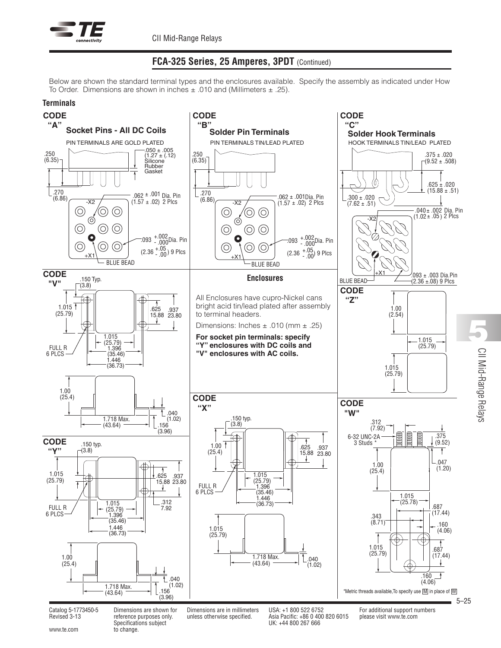

# **FCA-325 Series, 25 Amperes, 3PDT** (Continued)

Below are shown the standard terminal types and the enclosures available. Specify the assembly as indicated under How To Order. Dimensions are shown in inches  $\pm$  .010 and (Millimeters  $\pm$  .25).



www.te.com to change.

Revised 3-13 reference purposes only. unless otherwise specified. Asia Pacific: +86 0 400 820 6015 please visit www.te.com Specifications subject UK: +44 800 267 666

5–25

 $\supseteq$ 

**5**

Mid-Range

Relays